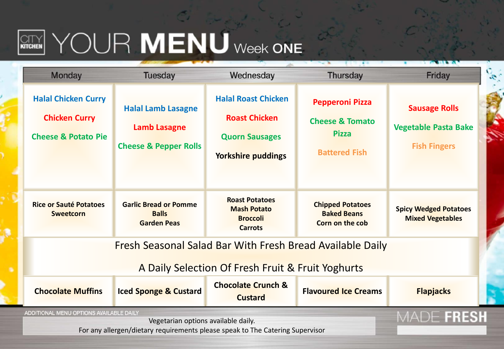## **REARNING THE MENU** Week ONE

| <b>Monday</b>                                                                        | <b>Tuesday</b>                                                                       | Wednesday                                                                                                | <b>Thursday</b>                                                                              | Friday                                                                     |  |  |  |
|--------------------------------------------------------------------------------------|--------------------------------------------------------------------------------------|----------------------------------------------------------------------------------------------------------|----------------------------------------------------------------------------------------------|----------------------------------------------------------------------------|--|--|--|
| <b>Halal Chicken Curry</b><br><b>Chicken Curry</b><br><b>Cheese &amp; Potato Pie</b> | <b>Halal Lamb Lasagne</b><br><b>Lamb Lasagne</b><br><b>Cheese &amp; Pepper Rolls</b> | <b>Halal Roast Chicken</b><br><b>Roast Chicken</b><br><b>Quorn Sausages</b><br><b>Yorkshire puddings</b> | <b>Pepperoni Pizza</b><br><b>Cheese &amp; Tomato</b><br><b>Pizza</b><br><b>Battered Fish</b> | <b>Sausage Rolls</b><br><b>Vegetable Pasta Bake</b><br><b>Fish Fingers</b> |  |  |  |
| <b>Rice or Sauté Potatoes</b><br><b>Sweetcorn</b>                                    | <b>Garlic Bread or Pomme</b><br><b>Balls</b><br><b>Garden Peas</b>                   | <b>Roast Potatoes</b><br><b>Mash Potato</b><br><b>Broccoli</b><br><b>Carrots</b>                         | <b>Chipped Potatoes</b><br><b>Baked Beans</b><br>Corn on the cob                             | <b>Spicy Wedged Potatoes</b><br><b>Mixed Vegetables</b>                    |  |  |  |
| <b>Fresh Seasonal Salad Bar With Fresh Bread Available Daily</b>                     |                                                                                      |                                                                                                          |                                                                                              |                                                                            |  |  |  |
| A Daily Selection Of Fresh Fruit & Fruit Yoghurts                                    |                                                                                      |                                                                                                          |                                                                                              |                                                                            |  |  |  |
| <b>Chocolate Muffins</b>                                                             | <b>Iced Sponge &amp; Custard</b>                                                     | <b>Chocolate Crunch &amp;</b><br><b>Custard</b>                                                          | <b>Flavoured Ice Creams</b>                                                                  | <b>Flapjacks</b>                                                           |  |  |  |
| ADDITIONAL MENU OPTIONS AVAILABLE DAILY                                              | MADE FRESH                                                                           |                                                                                                          |                                                                                              |                                                                            |  |  |  |
| For any allergen/dietary requirements please speak to The Catering Supervisor        |                                                                                      |                                                                                                          |                                                                                              |                                                                            |  |  |  |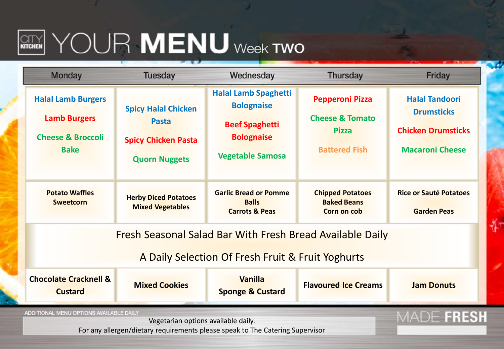## $\boxed{{\text{CITY}}$   $\text{CUT}$   $\text{MENU}$  week two

| <b>Monday</b>                                                                                                            | <b>Tuesday</b>                                                                                   | Wednesday                                                                                                                 | <b>Thursday</b>                                                                              | Friday                                                                                            |  |  |  |
|--------------------------------------------------------------------------------------------------------------------------|--------------------------------------------------------------------------------------------------|---------------------------------------------------------------------------------------------------------------------------|----------------------------------------------------------------------------------------------|---------------------------------------------------------------------------------------------------|--|--|--|
| <b>Halal Lamb Burgers</b><br><b>Lamb Burgers</b><br><b>Cheese &amp; Broccoli</b><br><b>Bake</b>                          | <b>Spicy Halal Chicken</b><br><b>Pasta</b><br><b>Spicy Chicken Pasta</b><br><b>Quorn Nuggets</b> | <b>Halal Lamb Spaghetti</b><br><b>Bolognaise</b><br><b>Beef Spaghetti</b><br><b>Bolognaise</b><br><b>Vegetable Samosa</b> | <b>Pepperoni Pizza</b><br><b>Cheese &amp; Tomato</b><br><b>Pizza</b><br><b>Battered Fish</b> | <b>Halal Tandoori</b><br><b>Drumsticks</b><br><b>Chicken Drumsticks</b><br><b>Macaroni Cheese</b> |  |  |  |
| <b>Potato Waffles</b><br><b>Sweetcorn</b>                                                                                | <b>Herby Diced Potatoes</b><br><b>Mixed Vegetables</b>                                           | <b>Garlic Bread or Pomme</b><br><b>Balls</b><br><b>Carrots &amp; Peas</b>                                                 | <b>Chipped Potatoes</b><br><b>Baked Beans</b><br>Corn on cob                                 | <b>Rice or Sauté Potatoes</b><br><b>Garden Peas</b>                                               |  |  |  |
| Fresh Seasonal Salad Bar With Fresh Bread Available Daily<br>A Daily Selection Of Fresh Fruit & Fruit Yoghurts           |                                                                                                  |                                                                                                                           |                                                                                              |                                                                                                   |  |  |  |
| <b>Chocolate Cracknell &amp;</b><br><b>Custard</b>                                                                       | <b>Mixed Cookies</b>                                                                             | <b>Vanilla</b><br><b>Sponge &amp; Custard</b>                                                                             | <b>Flavoured Ice Creams</b>                                                                  | <b>Jam Donuts</b>                                                                                 |  |  |  |
| ADDITIONAL MENU OPTIONS AVAILABLE DAILY<br>For any allergen/dietary requirements please speak to The Catering Supervisor | <b>FRESH</b>                                                                                     |                                                                                                                           |                                                                                              |                                                                                                   |  |  |  |